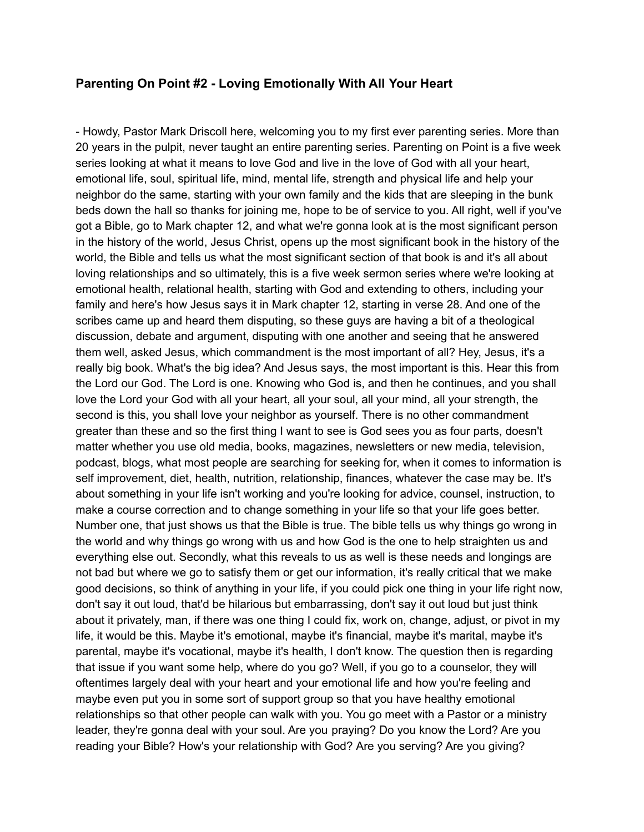## **Parenting On Point #2 - Loving Emotionally With All Your Heart**

- Howdy, Pastor Mark Driscoll here, welcoming you to my first ever parenting series. More than 20 years in the pulpit, never taught an entire parenting series. Parenting on Point is a five week series looking at what it means to love God and live in the love of God with all your heart, emotional life, soul, spiritual life, mind, mental life, strength and physical life and help your neighbor do the same, starting with your own family and the kids that are sleeping in the bunk beds down the hall so thanks for joining me, hope to be of service to you. All right, well if you've got a Bible, go to Mark chapter 12, and what we're gonna look at is the most significant person in the history of the world, Jesus Christ, opens up the most significant book in the history of the world, the Bible and tells us what the most significant section of that book is and it's all about loving relationships and so ultimately, this is a five week sermon series where we're looking at emotional health, relational health, starting with God and extending to others, including your family and here's how Jesus says it in Mark chapter 12, starting in verse 28. And one of the scribes came up and heard them disputing, so these guys are having a bit of a theological discussion, debate and argument, disputing with one another and seeing that he answered them well, asked Jesus, which commandment is the most important of all? Hey, Jesus, it's a really big book. What's the big idea? And Jesus says, the most important is this. Hear this from the Lord our God. The Lord is one. Knowing who God is, and then he continues, and you shall love the Lord your God with all your heart, all your soul, all your mind, all your strength, the second is this, you shall love your neighbor as yourself. There is no other commandment greater than these and so the first thing I want to see is God sees you as four parts, doesn't matter whether you use old media, books, magazines, newsletters or new media, television, podcast, blogs, what most people are searching for seeking for, when it comes to information is self improvement, diet, health, nutrition, relationship, finances, whatever the case may be. It's about something in your life isn't working and you're looking for advice, counsel, instruction, to make a course correction and to change something in your life so that your life goes better. Number one, that just shows us that the Bible is true. The bible tells us why things go wrong in the world and why things go wrong with us and how God is the one to help straighten us and everything else out. Secondly, what this reveals to us as well is these needs and longings are not bad but where we go to satisfy them or get our information, it's really critical that we make good decisions, so think of anything in your life, if you could pick one thing in your life right now, don't say it out loud, that'd be hilarious but embarrassing, don't say it out loud but just think about it privately, man, if there was one thing I could fix, work on, change, adjust, or pivot in my life, it would be this. Maybe it's emotional, maybe it's financial, maybe it's marital, maybe it's parental, maybe it's vocational, maybe it's health, I don't know. The question then is regarding that issue if you want some help, where do you go? Well, if you go to a counselor, they will oftentimes largely deal with your heart and your emotional life and how you're feeling and maybe even put you in some sort of support group so that you have healthy emotional relationships so that other people can walk with you. You go meet with a Pastor or a ministry leader, they're gonna deal with your soul. Are you praying? Do you know the Lord? Are you reading your Bible? How's your relationship with God? Are you serving? Are you giving?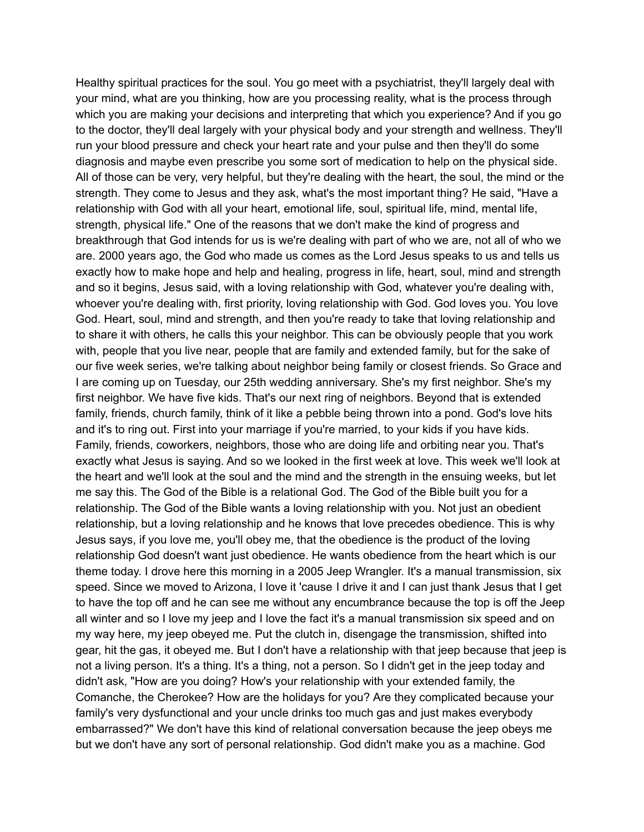Healthy spiritual practices for the soul. You go meet with a psychiatrist, they'll largely deal with your mind, what are you thinking, how are you processing reality, what is the process through which you are making your decisions and interpreting that which you experience? And if you go to the doctor, they'll deal largely with your physical body and your strength and wellness. They'll run your blood pressure and check your heart rate and your pulse and then they'll do some diagnosis and maybe even prescribe you some sort of medication to help on the physical side. All of those can be very, very helpful, but they're dealing with the heart, the soul, the mind or the strength. They come to Jesus and they ask, what's the most important thing? He said, "Have a relationship with God with all your heart, emotional life, soul, spiritual life, mind, mental life, strength, physical life." One of the reasons that we don't make the kind of progress and breakthrough that God intends for us is we're dealing with part of who we are, not all of who we are. 2000 years ago, the God who made us comes as the Lord Jesus speaks to us and tells us exactly how to make hope and help and healing, progress in life, heart, soul, mind and strength and so it begins, Jesus said, with a loving relationship with God, whatever you're dealing with, whoever you're dealing with, first priority, loving relationship with God. God loves you. You love God. Heart, soul, mind and strength, and then you're ready to take that loving relationship and to share it with others, he calls this your neighbor. This can be obviously people that you work with, people that you live near, people that are family and extended family, but for the sake of our five week series, we're talking about neighbor being family or closest friends. So Grace and I are coming up on Tuesday, our 25th wedding anniversary. She's my first neighbor. She's my first neighbor. We have five kids. That's our next ring of neighbors. Beyond that is extended family, friends, church family, think of it like a pebble being thrown into a pond. God's love hits and it's to ring out. First into your marriage if you're married, to your kids if you have kids. Family, friends, coworkers, neighbors, those who are doing life and orbiting near you. That's exactly what Jesus is saying. And so we looked in the first week at love. This week we'll look at the heart and we'll look at the soul and the mind and the strength in the ensuing weeks, but let me say this. The God of the Bible is a relational God. The God of the Bible built you for a relationship. The God of the Bible wants a loving relationship with you. Not just an obedient relationship, but a loving relationship and he knows that love precedes obedience. This is why Jesus says, if you love me, you'll obey me, that the obedience is the product of the loving relationship God doesn't want just obedience. He wants obedience from the heart which is our theme today. I drove here this morning in a 2005 Jeep Wrangler. It's a manual transmission, six speed. Since we moved to Arizona, I love it 'cause I drive it and I can just thank Jesus that I get to have the top off and he can see me without any encumbrance because the top is off the Jeep all winter and so I love my jeep and I love the fact it's a manual transmission six speed and on my way here, my jeep obeyed me. Put the clutch in, disengage the transmission, shifted into gear, hit the gas, it obeyed me. But I don't have a relationship with that jeep because that jeep is not a living person. It's a thing. It's a thing, not a person. So I didn't get in the jeep today and didn't ask, "How are you doing? How's your relationship with your extended family, the Comanche, the Cherokee? How are the holidays for you? Are they complicated because your family's very dysfunctional and your uncle drinks too much gas and just makes everybody embarrassed?" We don't have this kind of relational conversation because the jeep obeys me but we don't have any sort of personal relationship. God didn't make you as a machine. God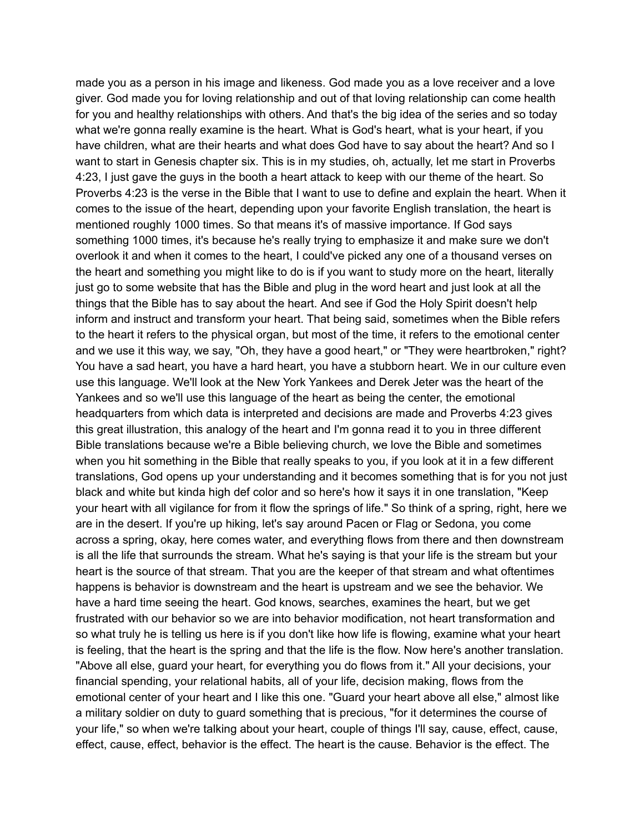made you as a person in his image and likeness. God made you as a love receiver and a love giver. God made you for loving relationship and out of that loving relationship can come health for you and healthy relationships with others. And that's the big idea of the series and so today what we're gonna really examine is the heart. What is God's heart, what is your heart, if you have children, what are their hearts and what does God have to say about the heart? And so I want to start in Genesis chapter six. This is in my studies, oh, actually, let me start in Proverbs 4:23, I just gave the guys in the booth a heart attack to keep with our theme of the heart. So Proverbs 4:23 is the verse in the Bible that I want to use to define and explain the heart. When it comes to the issue of the heart, depending upon your favorite English translation, the heart is mentioned roughly 1000 times. So that means it's of massive importance. If God says something 1000 times, it's because he's really trying to emphasize it and make sure we don't overlook it and when it comes to the heart, I could've picked any one of a thousand verses on the heart and something you might like to do is if you want to study more on the heart, literally just go to some website that has the Bible and plug in the word heart and just look at all the things that the Bible has to say about the heart. And see if God the Holy Spirit doesn't help inform and instruct and transform your heart. That being said, sometimes when the Bible refers to the heart it refers to the physical organ, but most of the time, it refers to the emotional center and we use it this way, we say, "Oh, they have a good heart," or "They were heartbroken," right? You have a sad heart, you have a hard heart, you have a stubborn heart. We in our culture even use this language. We'll look at the New York Yankees and Derek Jeter was the heart of the Yankees and so we'll use this language of the heart as being the center, the emotional headquarters from which data is interpreted and decisions are made and Proverbs 4:23 gives this great illustration, this analogy of the heart and I'm gonna read it to you in three different Bible translations because we're a Bible believing church, we love the Bible and sometimes when you hit something in the Bible that really speaks to you, if you look at it in a few different translations, God opens up your understanding and it becomes something that is for you not just black and white but kinda high def color and so here's how it says it in one translation, "Keep your heart with all vigilance for from it flow the springs of life." So think of a spring, right, here we are in the desert. If you're up hiking, let's say around Pacen or Flag or Sedona, you come across a spring, okay, here comes water, and everything flows from there and then downstream is all the life that surrounds the stream. What he's saying is that your life is the stream but your heart is the source of that stream. That you are the keeper of that stream and what oftentimes happens is behavior is downstream and the heart is upstream and we see the behavior. We have a hard time seeing the heart. God knows, searches, examines the heart, but we get frustrated with our behavior so we are into behavior modification, not heart transformation and so what truly he is telling us here is if you don't like how life is flowing, examine what your heart is feeling, that the heart is the spring and that the life is the flow. Now here's another translation. "Above all else, guard your heart, for everything you do flows from it." All your decisions, your financial spending, your relational habits, all of your life, decision making, flows from the emotional center of your heart and I like this one. "Guard your heart above all else," almost like a military soldier on duty to guard something that is precious, "for it determines the course of your life," so when we're talking about your heart, couple of things I'll say, cause, effect, cause, effect, cause, effect, behavior is the effect. The heart is the cause. Behavior is the effect. The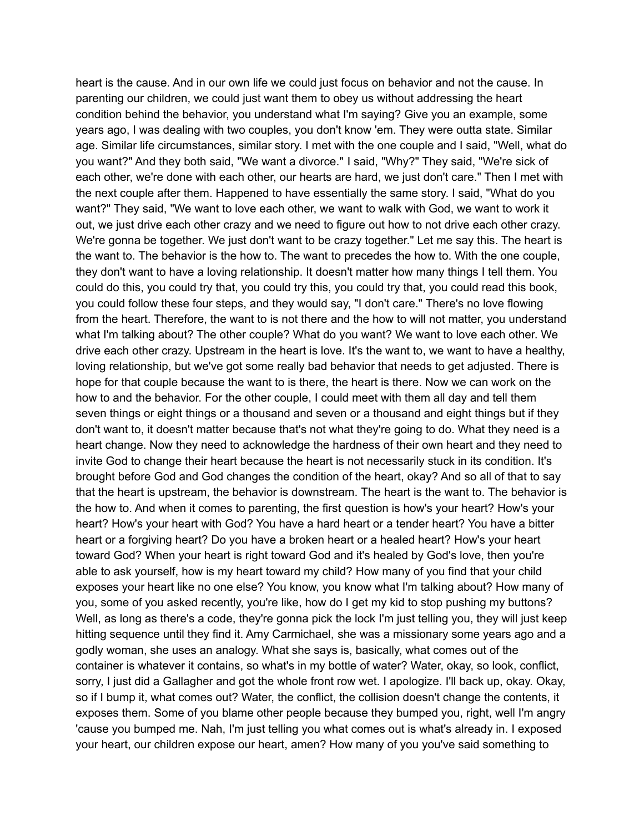heart is the cause. And in our own life we could just focus on behavior and not the cause. In parenting our children, we could just want them to obey us without addressing the heart condition behind the behavior, you understand what I'm saying? Give you an example, some years ago, I was dealing with two couples, you don't know 'em. They were outta state. Similar age. Similar life circumstances, similar story. I met with the one couple and I said, "Well, what do you want?" And they both said, "We want a divorce." I said, "Why?" They said, "We're sick of each other, we're done with each other, our hearts are hard, we just don't care." Then I met with the next couple after them. Happened to have essentially the same story. I said, "What do you want?" They said, "We want to love each other, we want to walk with God, we want to work it out, we just drive each other crazy and we need to figure out how to not drive each other crazy. We're gonna be together. We just don't want to be crazy together." Let me say this. The heart is the want to. The behavior is the how to. The want to precedes the how to. With the one couple, they don't want to have a loving relationship. It doesn't matter how many things I tell them. You could do this, you could try that, you could try this, you could try that, you could read this book, you could follow these four steps, and they would say, "I don't care." There's no love flowing from the heart. Therefore, the want to is not there and the how to will not matter, you understand what I'm talking about? The other couple? What do you want? We want to love each other. We drive each other crazy. Upstream in the heart is love. It's the want to, we want to have a healthy, loving relationship, but we've got some really bad behavior that needs to get adjusted. There is hope for that couple because the want to is there, the heart is there. Now we can work on the how to and the behavior. For the other couple, I could meet with them all day and tell them seven things or eight things or a thousand and seven or a thousand and eight things but if they don't want to, it doesn't matter because that's not what they're going to do. What they need is a heart change. Now they need to acknowledge the hardness of their own heart and they need to invite God to change their heart because the heart is not necessarily stuck in its condition. It's brought before God and God changes the condition of the heart, okay? And so all of that to say that the heart is upstream, the behavior is downstream. The heart is the want to. The behavior is the how to. And when it comes to parenting, the first question is how's your heart? How's your heart? How's your heart with God? You have a hard heart or a tender heart? You have a bitter heart or a forgiving heart? Do you have a broken heart or a healed heart? How's your heart toward God? When your heart is right toward God and it's healed by God's love, then you're able to ask yourself, how is my heart toward my child? How many of you find that your child exposes your heart like no one else? You know, you know what I'm talking about? How many of you, some of you asked recently, you're like, how do I get my kid to stop pushing my buttons? Well, as long as there's a code, they're gonna pick the lock I'm just telling you, they will just keep hitting sequence until they find it. Amy Carmichael, she was a missionary some years ago and a godly woman, she uses an analogy. What she says is, basically, what comes out of the container is whatever it contains, so what's in my bottle of water? Water, okay, so look, conflict, sorry, I just did a Gallagher and got the whole front row wet. I apologize. I'll back up, okay. Okay, so if I bump it, what comes out? Water, the conflict, the collision doesn't change the contents, it exposes them. Some of you blame other people because they bumped you, right, well I'm angry 'cause you bumped me. Nah, I'm just telling you what comes out is what's already in. I exposed your heart, our children expose our heart, amen? How many of you you've said something to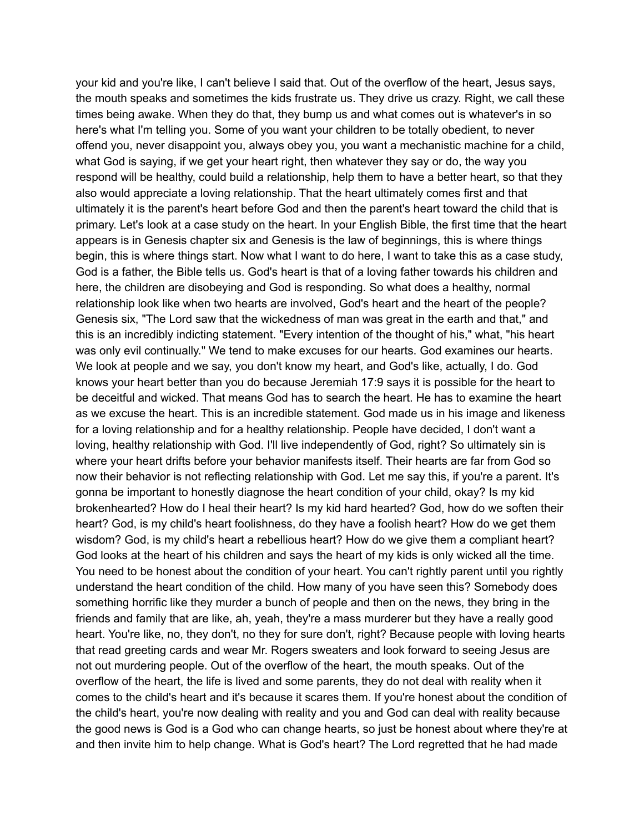your kid and you're like, I can't believe I said that. Out of the overflow of the heart, Jesus says, the mouth speaks and sometimes the kids frustrate us. They drive us crazy. Right, we call these times being awake. When they do that, they bump us and what comes out is whatever's in so here's what I'm telling you. Some of you want your children to be totally obedient, to never offend you, never disappoint you, always obey you, you want a mechanistic machine for a child, what God is saying, if we get your heart right, then whatever they say or do, the way you respond will be healthy, could build a relationship, help them to have a better heart, so that they also would appreciate a loving relationship. That the heart ultimately comes first and that ultimately it is the parent's heart before God and then the parent's heart toward the child that is primary. Let's look at a case study on the heart. In your English Bible, the first time that the heart appears is in Genesis chapter six and Genesis is the law of beginnings, this is where things begin, this is where things start. Now what I want to do here, I want to take this as a case study, God is a father, the Bible tells us. God's heart is that of a loving father towards his children and here, the children are disobeying and God is responding. So what does a healthy, normal relationship look like when two hearts are involved, God's heart and the heart of the people? Genesis six, "The Lord saw that the wickedness of man was great in the earth and that," and this is an incredibly indicting statement. "Every intention of the thought of his," what, "his heart was only evil continually." We tend to make excuses for our hearts. God examines our hearts. We look at people and we say, you don't know my heart, and God's like, actually, I do. God knows your heart better than you do because Jeremiah 17:9 says it is possible for the heart to be deceitful and wicked. That means God has to search the heart. He has to examine the heart as we excuse the heart. This is an incredible statement. God made us in his image and likeness for a loving relationship and for a healthy relationship. People have decided, I don't want a loving, healthy relationship with God. I'll live independently of God, right? So ultimately sin is where your heart drifts before your behavior manifests itself. Their hearts are far from God so now their behavior is not reflecting relationship with God. Let me say this, if you're a parent. It's gonna be important to honestly diagnose the heart condition of your child, okay? Is my kid brokenhearted? How do I heal their heart? Is my kid hard hearted? God, how do we soften their heart? God, is my child's heart foolishness, do they have a foolish heart? How do we get them wisdom? God, is my child's heart a rebellious heart? How do we give them a compliant heart? God looks at the heart of his children and says the heart of my kids is only wicked all the time. You need to be honest about the condition of your heart. You can't rightly parent until you rightly understand the heart condition of the child. How many of you have seen this? Somebody does something horrific like they murder a bunch of people and then on the news, they bring in the friends and family that are like, ah, yeah, they're a mass murderer but they have a really good heart. You're like, no, they don't, no they for sure don't, right? Because people with loving hearts that read greeting cards and wear Mr. Rogers sweaters and look forward to seeing Jesus are not out murdering people. Out of the overflow of the heart, the mouth speaks. Out of the overflow of the heart, the life is lived and some parents, they do not deal with reality when it comes to the child's heart and it's because it scares them. If you're honest about the condition of the child's heart, you're now dealing with reality and you and God can deal with reality because the good news is God is a God who can change hearts, so just be honest about where they're at and then invite him to help change. What is God's heart? The Lord regretted that he had made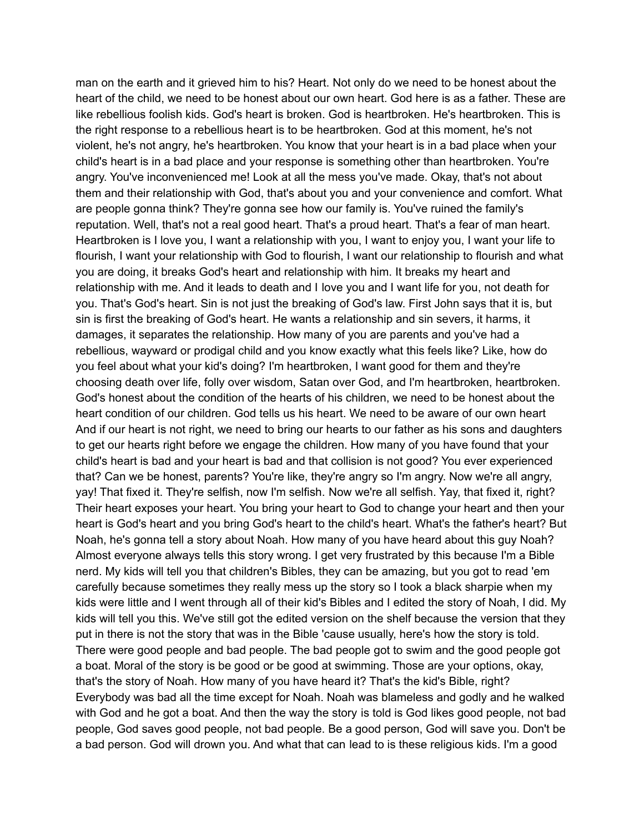man on the earth and it grieved him to his? Heart. Not only do we need to be honest about the heart of the child, we need to be honest about our own heart. God here is as a father. These are like rebellious foolish kids. God's heart is broken. God is heartbroken. He's heartbroken. This is the right response to a rebellious heart is to be heartbroken. God at this moment, he's not violent, he's not angry, he's heartbroken. You know that your heart is in a bad place when your child's heart is in a bad place and your response is something other than heartbroken. You're angry. You've inconvenienced me! Look at all the mess you've made. Okay, that's not about them and their relationship with God, that's about you and your convenience and comfort. What are people gonna think? They're gonna see how our family is. You've ruined the family's reputation. Well, that's not a real good heart. That's a proud heart. That's a fear of man heart. Heartbroken is I love you, I want a relationship with you, I want to enjoy you, I want your life to flourish, I want your relationship with God to flourish, I want our relationship to flourish and what you are doing, it breaks God's heart and relationship with him. It breaks my heart and relationship with me. And it leads to death and I love you and I want life for you, not death for you. That's God's heart. Sin is not just the breaking of God's law. First John says that it is, but sin is first the breaking of God's heart. He wants a relationship and sin severs, it harms, it damages, it separates the relationship. How many of you are parents and you've had a rebellious, wayward or prodigal child and you know exactly what this feels like? Like, how do you feel about what your kid's doing? I'm heartbroken, I want good for them and they're choosing death over life, folly over wisdom, Satan over God, and I'm heartbroken, heartbroken. God's honest about the condition of the hearts of his children, we need to be honest about the heart condition of our children. God tells us his heart. We need to be aware of our own heart And if our heart is not right, we need to bring our hearts to our father as his sons and daughters to get our hearts right before we engage the children. How many of you have found that your child's heart is bad and your heart is bad and that collision is not good? You ever experienced that? Can we be honest, parents? You're like, they're angry so I'm angry. Now we're all angry, yay! That fixed it. They're selfish, now I'm selfish. Now we're all selfish. Yay, that fixed it, right? Their heart exposes your heart. You bring your heart to God to change your heart and then your heart is God's heart and you bring God's heart to the child's heart. What's the father's heart? But Noah, he's gonna tell a story about Noah. How many of you have heard about this guy Noah? Almost everyone always tells this story wrong. I get very frustrated by this because I'm a Bible nerd. My kids will tell you that children's Bibles, they can be amazing, but you got to read 'em carefully because sometimes they really mess up the story so I took a black sharpie when my kids were little and I went through all of their kid's Bibles and I edited the story of Noah, I did. My kids will tell you this. We've still got the edited version on the shelf because the version that they put in there is not the story that was in the Bible 'cause usually, here's how the story is told. There were good people and bad people. The bad people got to swim and the good people got a boat. Moral of the story is be good or be good at swimming. Those are your options, okay, that's the story of Noah. How many of you have heard it? That's the kid's Bible, right? Everybody was bad all the time except for Noah. Noah was blameless and godly and he walked with God and he got a boat. And then the way the story is told is God likes good people, not bad people, God saves good people, not bad people. Be a good person, God will save you. Don't be a bad person. God will drown you. And what that can lead to is these religious kids. I'm a good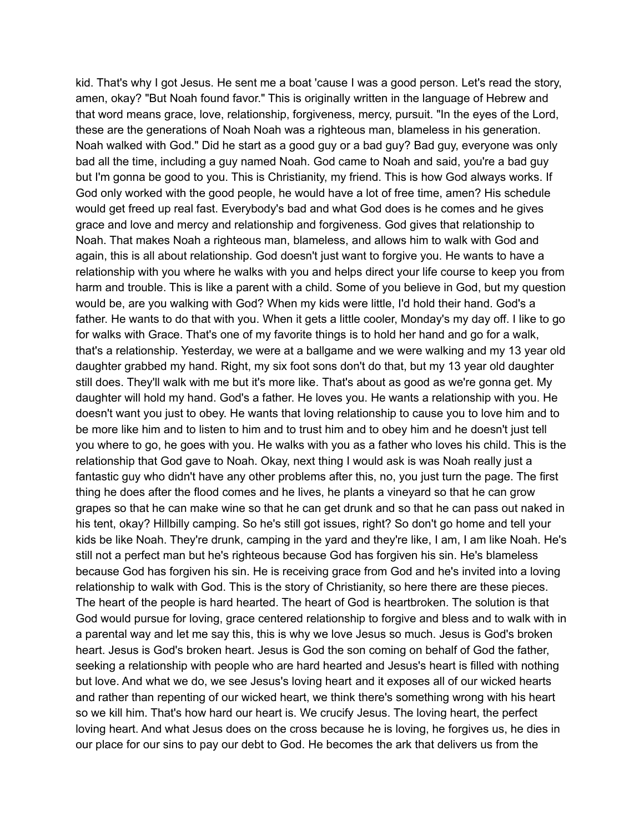kid. That's why I got Jesus. He sent me a boat 'cause I was a good person. Let's read the story, amen, okay? "But Noah found favor." This is originally written in the language of Hebrew and that word means grace, love, relationship, forgiveness, mercy, pursuit. "In the eyes of the Lord, these are the generations of Noah Noah was a righteous man, blameless in his generation. Noah walked with God." Did he start as a good guy or a bad guy? Bad guy, everyone was only bad all the time, including a guy named Noah. God came to Noah and said, you're a bad guy but I'm gonna be good to you. This is Christianity, my friend. This is how God always works. If God only worked with the good people, he would have a lot of free time, amen? His schedule would get freed up real fast. Everybody's bad and what God does is he comes and he gives grace and love and mercy and relationship and forgiveness. God gives that relationship to Noah. That makes Noah a righteous man, blameless, and allows him to walk with God and again, this is all about relationship. God doesn't just want to forgive you. He wants to have a relationship with you where he walks with you and helps direct your life course to keep you from harm and trouble. This is like a parent with a child. Some of you believe in God, but my question would be, are you walking with God? When my kids were little, I'd hold their hand. God's a father. He wants to do that with you. When it gets a little cooler, Monday's my day off. I like to go for walks with Grace. That's one of my favorite things is to hold her hand and go for a walk, that's a relationship. Yesterday, we were at a ballgame and we were walking and my 13 year old daughter grabbed my hand. Right, my six foot sons don't do that, but my 13 year old daughter still does. They'll walk with me but it's more like. That's about as good as we're gonna get. My daughter will hold my hand. God's a father. He loves you. He wants a relationship with you. He doesn't want you just to obey. He wants that loving relationship to cause you to love him and to be more like him and to listen to him and to trust him and to obey him and he doesn't just tell you where to go, he goes with you. He walks with you as a father who loves his child. This is the relationship that God gave to Noah. Okay, next thing I would ask is was Noah really just a fantastic guy who didn't have any other problems after this, no, you just turn the page. The first thing he does after the flood comes and he lives, he plants a vineyard so that he can grow grapes so that he can make wine so that he can get drunk and so that he can pass out naked in his tent, okay? Hillbilly camping. So he's still got issues, right? So don't go home and tell your kids be like Noah. They're drunk, camping in the yard and they're like, I am, I am like Noah. He's still not a perfect man but he's righteous because God has forgiven his sin. He's blameless because God has forgiven his sin. He is receiving grace from God and he's invited into a loving relationship to walk with God. This is the story of Christianity, so here there are these pieces. The heart of the people is hard hearted. The heart of God is heartbroken. The solution is that God would pursue for loving, grace centered relationship to forgive and bless and to walk with in a parental way and let me say this, this is why we love Jesus so much. Jesus is God's broken heart. Jesus is God's broken heart. Jesus is God the son coming on behalf of God the father, seeking a relationship with people who are hard hearted and Jesus's heart is filled with nothing but love. And what we do, we see Jesus's loving heart and it exposes all of our wicked hearts and rather than repenting of our wicked heart, we think there's something wrong with his heart so we kill him. That's how hard our heart is. We crucify Jesus. The loving heart, the perfect loving heart. And what Jesus does on the cross because he is loving, he forgives us, he dies in our place for our sins to pay our debt to God. He becomes the ark that delivers us from the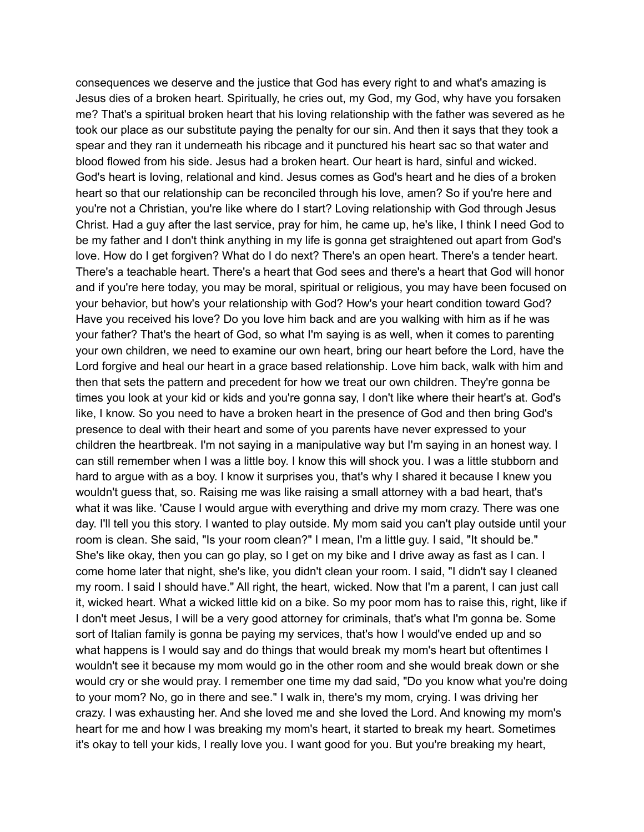consequences we deserve and the justice that God has every right to and what's amazing is Jesus dies of a broken heart. Spiritually, he cries out, my God, my God, why have you forsaken me? That's a spiritual broken heart that his loving relationship with the father was severed as he took our place as our substitute paying the penalty for our sin. And then it says that they took a spear and they ran it underneath his ribcage and it punctured his heart sac so that water and blood flowed from his side. Jesus had a broken heart. Our heart is hard, sinful and wicked. God's heart is loving, relational and kind. Jesus comes as God's heart and he dies of a broken heart so that our relationship can be reconciled through his love, amen? So if you're here and you're not a Christian, you're like where do I start? Loving relationship with God through Jesus Christ. Had a guy after the last service, pray for him, he came up, he's like, I think I need God to be my father and I don't think anything in my life is gonna get straightened out apart from God's love. How do I get forgiven? What do I do next? There's an open heart. There's a tender heart. There's a teachable heart. There's a heart that God sees and there's a heart that God will honor and if you're here today, you may be moral, spiritual or religious, you may have been focused on your behavior, but how's your relationship with God? How's your heart condition toward God? Have you received his love? Do you love him back and are you walking with him as if he was your father? That's the heart of God, so what I'm saying is as well, when it comes to parenting your own children, we need to examine our own heart, bring our heart before the Lord, have the Lord forgive and heal our heart in a grace based relationship. Love him back, walk with him and then that sets the pattern and precedent for how we treat our own children. They're gonna be times you look at your kid or kids and you're gonna say, I don't like where their heart's at. God's like, I know. So you need to have a broken heart in the presence of God and then bring God's presence to deal with their heart and some of you parents have never expressed to your children the heartbreak. I'm not saying in a manipulative way but I'm saying in an honest way. I can still remember when I was a little boy. I know this will shock you. I was a little stubborn and hard to argue with as a boy. I know it surprises you, that's why I shared it because I knew you wouldn't guess that, so. Raising me was like raising a small attorney with a bad heart, that's what it was like. 'Cause I would argue with everything and drive my mom crazy. There was one day. I'll tell you this story. I wanted to play outside. My mom said you can't play outside until your room is clean. She said, "Is your room clean?" I mean, I'm a little guy. I said, "It should be." She's like okay, then you can go play, so I get on my bike and I drive away as fast as I can. I come home later that night, she's like, you didn't clean your room. I said, "I didn't say I cleaned my room. I said I should have." All right, the heart, wicked. Now that I'm a parent, I can just call it, wicked heart. What a wicked little kid on a bike. So my poor mom has to raise this, right, like if I don't meet Jesus, I will be a very good attorney for criminals, that's what I'm gonna be. Some sort of Italian family is gonna be paying my services, that's how I would've ended up and so what happens is I would say and do things that would break my mom's heart but oftentimes I wouldn't see it because my mom would go in the other room and she would break down or she would cry or she would pray. I remember one time my dad said, "Do you know what you're doing to your mom? No, go in there and see." I walk in, there's my mom, crying. I was driving her crazy. I was exhausting her. And she loved me and she loved the Lord. And knowing my mom's heart for me and how I was breaking my mom's heart, it started to break my heart. Sometimes it's okay to tell your kids, I really love you. I want good for you. But you're breaking my heart,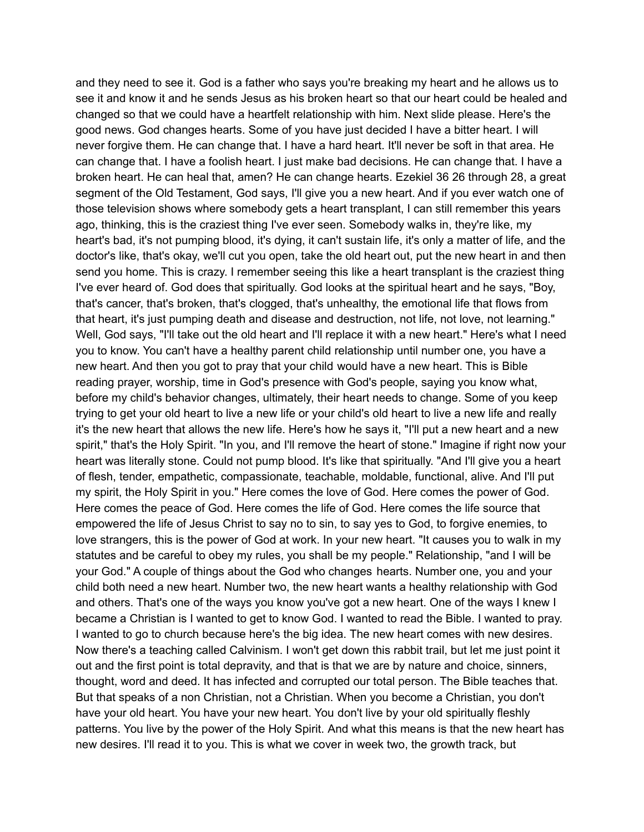and they need to see it. God is a father who says you're breaking my heart and he allows us to see it and know it and he sends Jesus as his broken heart so that our heart could be healed and changed so that we could have a heartfelt relationship with him. Next slide please. Here's the good news. God changes hearts. Some of you have just decided I have a bitter heart. I will never forgive them. He can change that. I have a hard heart. It'll never be soft in that area. He can change that. I have a foolish heart. I just make bad decisions. He can change that. I have a broken heart. He can heal that, amen? He can change hearts. Ezekiel 36 26 through 28, a great segment of the Old Testament, God says, I'll give you a new heart. And if you ever watch one of those television shows where somebody gets a heart transplant, I can still remember this years ago, thinking, this is the craziest thing I've ever seen. Somebody walks in, they're like, my heart's bad, it's not pumping blood, it's dying, it can't sustain life, it's only a matter of life, and the doctor's like, that's okay, we'll cut you open, take the old heart out, put the new heart in and then send you home. This is crazy. I remember seeing this like a heart transplant is the craziest thing I've ever heard of. God does that spiritually. God looks at the spiritual heart and he says, "Boy, that's cancer, that's broken, that's clogged, that's unhealthy, the emotional life that flows from that heart, it's just pumping death and disease and destruction, not life, not love, not learning." Well, God says, "I'll take out the old heart and I'll replace it with a new heart." Here's what I need you to know. You can't have a healthy parent child relationship until number one, you have a new heart. And then you got to pray that your child would have a new heart. This is Bible reading prayer, worship, time in God's presence with God's people, saying you know what, before my child's behavior changes, ultimately, their heart needs to change. Some of you keep trying to get your old heart to live a new life or your child's old heart to live a new life and really it's the new heart that allows the new life. Here's how he says it, "I'll put a new heart and a new spirit," that's the Holy Spirit. "In you, and I'll remove the heart of stone." Imagine if right now your heart was literally stone. Could not pump blood. It's like that spiritually. "And I'll give you a heart of flesh, tender, empathetic, compassionate, teachable, moldable, functional, alive. And I'll put my spirit, the Holy Spirit in you." Here comes the love of God. Here comes the power of God. Here comes the peace of God. Here comes the life of God. Here comes the life source that empowered the life of Jesus Christ to say no to sin, to say yes to God, to forgive enemies, to love strangers, this is the power of God at work. In your new heart. "It causes you to walk in my statutes and be careful to obey my rules, you shall be my people." Relationship, "and I will be your God." A couple of things about the God who changes hearts. Number one, you and your child both need a new heart. Number two, the new heart wants a healthy relationship with God and others. That's one of the ways you know you've got a new heart. One of the ways I knew I became a Christian is I wanted to get to know God. I wanted to read the Bible. I wanted to pray. I wanted to go to church because here's the big idea. The new heart comes with new desires. Now there's a teaching called Calvinism. I won't get down this rabbit trail, but let me just point it out and the first point is total depravity, and that is that we are by nature and choice, sinners, thought, word and deed. It has infected and corrupted our total person. The Bible teaches that. But that speaks of a non Christian, not a Christian. When you become a Christian, you don't have your old heart. You have your new heart. You don't live by your old spiritually fleshly patterns. You live by the power of the Holy Spirit. And what this means is that the new heart has new desires. I'll read it to you. This is what we cover in week two, the growth track, but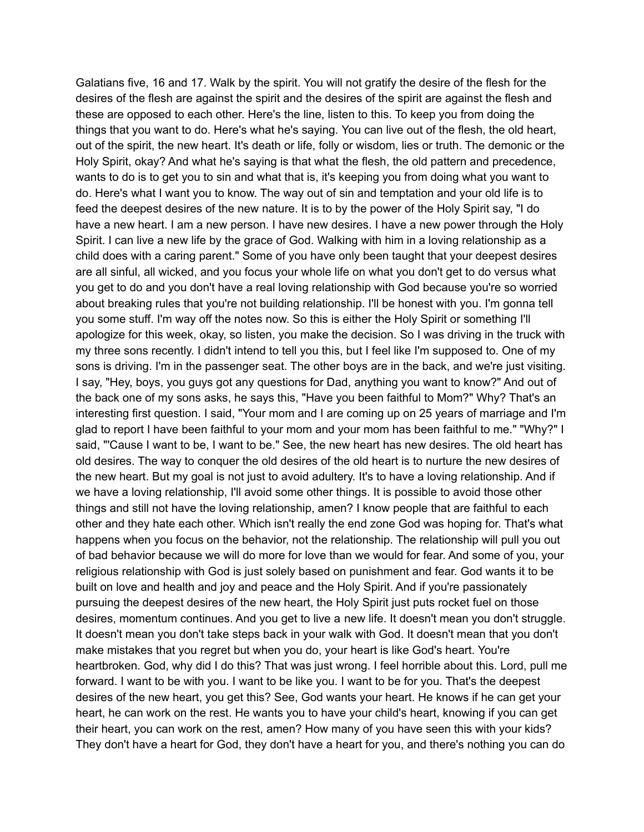Galatians five, 16 and 17. Walk by the spirit. You will not gratify the desire of the flesh for the desires of the flesh are against the spirit and the desires of the spirit are against the flesh and these are opposed to each other. Here's the line, listen to this. To keep you from doing the things that you want to do. Here's what he's saying. You can live out of the flesh, the old heart, out of the spirit, the new heart. It's death or life, folly or wisdom, lies or truth. The demonic or the Holy Spirit, okay? And what he's saying is that what the flesh, the old pattern and precedence, wants to do is to get you to sin and what that is, it's keeping you from doing what you want to do. Here's what I want you to know. The way out of sin and temptation and your old life is to feed the deepest desires of the new nature. It is to by the power of the Holy Spirit say, "I do have a new heart. I am a new person. I have new desires. I have a new power through the Holy Spirit. I can live a new life by the grace of God. Walking with him in a loving relationship as a child does with a caring parent." Some of you have only been taught that your deepest desires are all sinful, all wicked, and you focus your whole life on what you don't get to do versus what you get to do and you don't have a real loving relationship with God because you're so worried about breaking rules that you're not building relationship. I'll be honest with you. I'm gonna tell you some stuff. I'm way off the notes now. So this is either the Holy Spirit or something I'll apologize for this week, okay, so listen, you make the decision. So I was driving in the truck with my three sons recently. I didn't intend to tell you this, but I feel like I'm supposed to. One of my sons is driving. I'm in the passenger seat. The other boys are in the back, and we're just visiting. I say, "Hey, boys, you guys got any questions for Dad, anything you want to know?" And out of the back one of my sons asks, he says this, "Have you been faithful to Mom?" Why? That's an interesting first question. I said, "Your mom and I are coming up on 25 years of marriage and I'm glad to report I have been faithful to your mom and your mom has been faithful to me." "Why?" I said, "'Cause I want to be, I want to be." See, the new heart has new desires. The old heart has old desires. The way to conquer the old desires of the old heart is to nurture the new desires of the new heart. But my goal is not just to avoid adultery. It's to have a loving relationship. And if we have a loving relationship, I'll avoid some other things. It is possible to avoid those other things and still not have the loving relationship, amen? I know people that are faithful to each other and they hate each other. Which isn't really the end zone God was hoping for. That's what happens when you focus on the behavior, not the relationship. The relationship will pull you out of bad behavior because we will do more for love than we would for fear. And some of you, your religious relationship with God is just solely based on punishment and fear. God wants it to be built on love and health and joy and peace and the Holy Spirit. And if you're passionately pursuing the deepest desires of the new heart, the Holy Spirit just puts rocket fuel on those desires, momentum continues. And you get to live a new life. It doesn't mean you don't struggle. It doesn't mean you don't take steps back in your walk with God. It doesn't mean that you don't make mistakes that you regret but when you do, your heart is like God's heart. You're heartbroken. God, why did I do this? That was just wrong. I feel horrible about this. Lord, pull me forward. I want to be with you. I want to be like you. I want to be for you. That's the deepest desires of the new heart, you get this? See, God wants your heart. He knows if he can get your heart, he can work on the rest. He wants you to have your child's heart, knowing if you can get their heart, you can work on the rest, amen? How many of you have seen this with your kids? They don't have a heart for God, they don't have a heart for you, and there's nothing you can do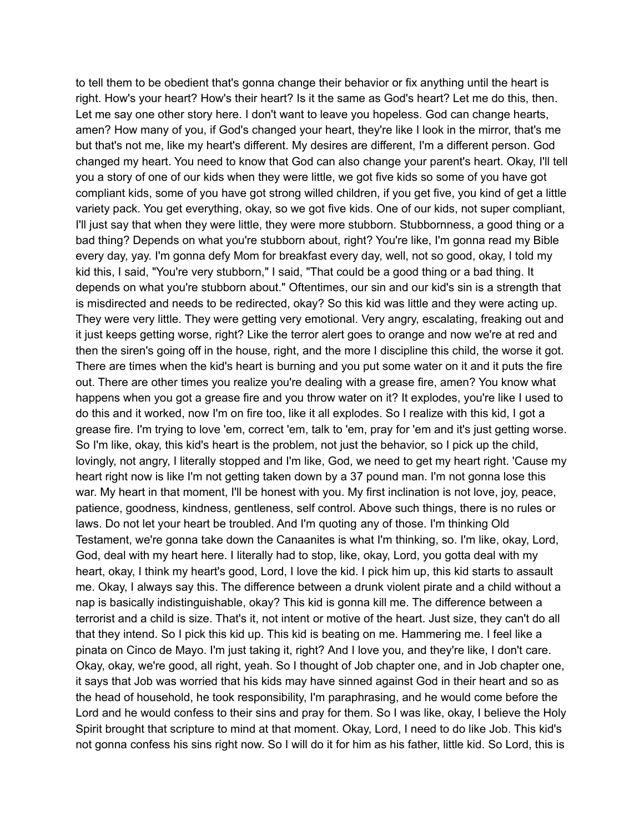to tell them to be obedient that's gonna change their behavior or fix anything until the heart is right. How's your heart? How's their heart? Is it the same as God's heart? Let me do this, then. Let me say one other story here. I don't want to leave you hopeless. God can change hearts, amen? How many of you, if God's changed your heart, they're like I look in the mirror, that's me but that's not me, like my heart's different. My desires are different, I'm a different person. God changed my heart. You need to know that God can also change your parent's heart. Okay, I'll tell you a story of one of our kids when they were little, we got five kids so some of you have got compliant kids, some of you have got strong willed children, if you get five, you kind of get a little variety pack. You get everything, okay, so we got five kids. One of our kids, not super compliant, I'll just say that when they were little, they were more stubborn. Stubbornness, a good thing or a bad thing? Depends on what you're stubborn about, right? You're like, I'm gonna read my Bible every day, yay. I'm gonna defy Mom for breakfast every day, well, not so good, okay, I told my kid this, I said, "You're very stubborn," I said, "That could be a good thing or a bad thing. It depends on what you're stubborn about." Oftentimes, our sin and our kid's sin is a strength that is misdirected and needs to be redirected, okay? So this kid was little and they were acting up. They were very little. They were getting very emotional. Very angry, escalating, freaking out and it just keeps getting worse, right? Like the terror alert goes to orange and now we're at red and then the siren's going off in the house, right, and the more I discipline this child, the worse it got. There are times when the kid's heart is burning and you put some water on it and it puts the fire out. There are other times you realize you're dealing with a grease fire, amen? You know what happens when you got a grease fire and you throw water on it? It explodes, you're like I used to do this and it worked, now I'm on fire too, like it all explodes. So I realize with this kid, I got a grease fire. I'm trying to love 'em, correct 'em, talk to 'em, pray for 'em and it's just getting worse. So I'm like, okay, this kid's heart is the problem, not just the behavior, so I pick up the child, lovingly, not angry, I literally stopped and I'm like, God, we need to get my heart right. 'Cause my heart right now is like I'm not getting taken down by a 37 pound man. I'm not gonna lose this war. My heart in that moment, I'll be honest with you. My first inclination is not love, joy, peace, patience, goodness, kindness, gentleness, self control. Above such things, there is no rules or laws. Do not let your heart be troubled. And I'm quoting any of those. I'm thinking Old Testament, we're gonna take down the Canaanites is what I'm thinking, so. I'm like, okay, Lord, God, deal with my heart here. I literally had to stop, like, okay, Lord, you gotta deal with my heart, okay, I think my heart's good, Lord, I love the kid. I pick him up, this kid starts to assault me. Okay, I always say this. The difference between a drunk violent pirate and a child without a nap is basically indistinguishable, okay? This kid is gonna kill me. The difference between a terrorist and a child is size. That's it, not intent or motive of the heart. Just size, they can't do all that they intend. So I pick this kid up. This kid is beating on me. Hammering me. I feel like a pinata on Cinco de Mayo. I'm just taking it, right? And I love you, and they're like, I don't care. Okay, okay, we're good, all right, yeah. So I thought of Job chapter one, and in Job chapter one, it says that Job was worried that his kids may have sinned against God in their heart and so as the head of household, he took responsibility, I'm paraphrasing, and he would come before the Lord and he would confess to their sins and pray for them. So I was like, okay, I believe the Holy Spirit brought that scripture to mind at that moment. Okay, Lord, I need to do like Job. This kid's not gonna confess his sins right now. So I will do it for him as his father, little kid. So Lord, this is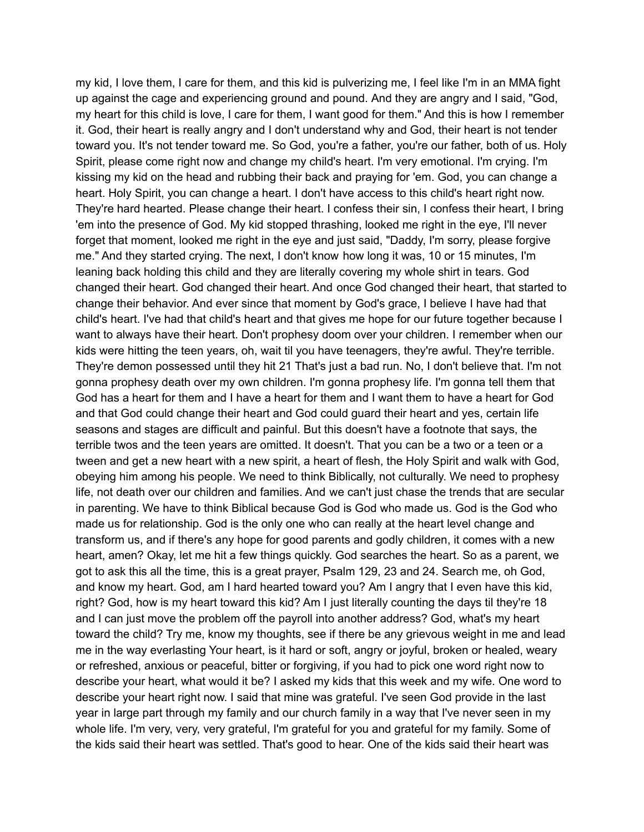my kid, I love them, I care for them, and this kid is pulverizing me, I feel like I'm in an MMA fight up against the cage and experiencing ground and pound. And they are angry and I said, "God, my heart for this child is love, I care for them, I want good for them." And this is how I remember it. God, their heart is really angry and I don't understand why and God, their heart is not tender toward you. It's not tender toward me. So God, you're a father, you're our father, both of us. Holy Spirit, please come right now and change my child's heart. I'm very emotional. I'm crying. I'm kissing my kid on the head and rubbing their back and praying for 'em. God, you can change a heart. Holy Spirit, you can change a heart. I don't have access to this child's heart right now. They're hard hearted. Please change their heart. I confess their sin, I confess their heart, I bring 'em into the presence of God. My kid stopped thrashing, looked me right in the eye, I'll never forget that moment, looked me right in the eye and just said, "Daddy, I'm sorry, please forgive me." And they started crying. The next, I don't know how long it was, 10 or 15 minutes, I'm leaning back holding this child and they are literally covering my whole shirt in tears. God changed their heart. God changed their heart. And once God changed their heart, that started to change their behavior. And ever since that moment by God's grace, I believe I have had that child's heart. I've had that child's heart and that gives me hope for our future together because I want to always have their heart. Don't prophesy doom over your children. I remember when our kids were hitting the teen years, oh, wait til you have teenagers, they're awful. They're terrible. They're demon possessed until they hit 21 That's just a bad run. No, I don't believe that. I'm not gonna prophesy death over my own children. I'm gonna prophesy life. I'm gonna tell them that God has a heart for them and I have a heart for them and I want them to have a heart for God and that God could change their heart and God could guard their heart and yes, certain life seasons and stages are difficult and painful. But this doesn't have a footnote that says, the terrible twos and the teen years are omitted. It doesn't. That you can be a two or a teen or a tween and get a new heart with a new spirit, a heart of flesh, the Holy Spirit and walk with God, obeying him among his people. We need to think Biblically, not culturally. We need to prophesy life, not death over our children and families. And we can't just chase the trends that are secular in parenting. We have to think Biblical because God is God who made us. God is the God who made us for relationship. God is the only one who can really at the heart level change and transform us, and if there's any hope for good parents and godly children, it comes with a new heart, amen? Okay, let me hit a few things quickly. God searches the heart. So as a parent, we got to ask this all the time, this is a great prayer, Psalm 129, 23 and 24. Search me, oh God, and know my heart. God, am I hard hearted toward you? Am I angry that I even have this kid, right? God, how is my heart toward this kid? Am I just literally counting the days til they're 18 and I can just move the problem off the payroll into another address? God, what's my heart toward the child? Try me, know my thoughts, see if there be any grievous weight in me and lead me in the way everlasting Your heart, is it hard or soft, angry or joyful, broken or healed, weary or refreshed, anxious or peaceful, bitter or forgiving, if you had to pick one word right now to describe your heart, what would it be? I asked my kids that this week and my wife. One word to describe your heart right now. I said that mine was grateful. I've seen God provide in the last year in large part through my family and our church family in a way that I've never seen in my whole life. I'm very, very, very grateful, I'm grateful for you and grateful for my family. Some of the kids said their heart was settled. That's good to hear. One of the kids said their heart was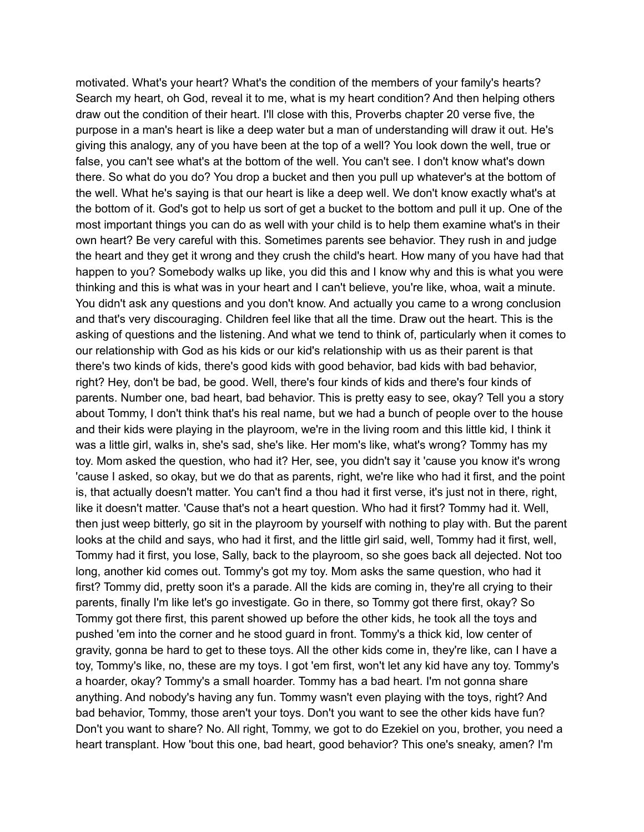motivated. What's your heart? What's the condition of the members of your family's hearts? Search my heart, oh God, reveal it to me, what is my heart condition? And then helping others draw out the condition of their heart. I'll close with this, Proverbs chapter 20 verse five, the purpose in a man's heart is like a deep water but a man of understanding will draw it out. He's giving this analogy, any of you have been at the top of a well? You look down the well, true or false, you can't see what's at the bottom of the well. You can't see. I don't know what's down there. So what do you do? You drop a bucket and then you pull up whatever's at the bottom of the well. What he's saying is that our heart is like a deep well. We don't know exactly what's at the bottom of it. God's got to help us sort of get a bucket to the bottom and pull it up. One of the most important things you can do as well with your child is to help them examine what's in their own heart? Be very careful with this. Sometimes parents see behavior. They rush in and judge the heart and they get it wrong and they crush the child's heart. How many of you have had that happen to you? Somebody walks up like, you did this and I know why and this is what you were thinking and this is what was in your heart and I can't believe, you're like, whoa, wait a minute. You didn't ask any questions and you don't know. And actually you came to a wrong conclusion and that's very discouraging. Children feel like that all the time. Draw out the heart. This is the asking of questions and the listening. And what we tend to think of, particularly when it comes to our relationship with God as his kids or our kid's relationship with us as their parent is that there's two kinds of kids, there's good kids with good behavior, bad kids with bad behavior, right? Hey, don't be bad, be good. Well, there's four kinds of kids and there's four kinds of parents. Number one, bad heart, bad behavior. This is pretty easy to see, okay? Tell you a story about Tommy, I don't think that's his real name, but we had a bunch of people over to the house and their kids were playing in the playroom, we're in the living room and this little kid, I think it was a little girl, walks in, she's sad, she's like. Her mom's like, what's wrong? Tommy has my toy. Mom asked the question, who had it? Her, see, you didn't say it 'cause you know it's wrong 'cause I asked, so okay, but we do that as parents, right, we're like who had it first, and the point is, that actually doesn't matter. You can't find a thou had it first verse, it's just not in there, right, like it doesn't matter. 'Cause that's not a heart question. Who had it first? Tommy had it. Well, then just weep bitterly, go sit in the playroom by yourself with nothing to play with. But the parent looks at the child and says, who had it first, and the little girl said, well, Tommy had it first, well, Tommy had it first, you lose, Sally, back to the playroom, so she goes back all dejected. Not too long, another kid comes out. Tommy's got my toy. Mom asks the same question, who had it first? Tommy did, pretty soon it's a parade. All the kids are coming in, they're all crying to their parents, finally I'm like let's go investigate. Go in there, so Tommy got there first, okay? So Tommy got there first, this parent showed up before the other kids, he took all the toys and pushed 'em into the corner and he stood guard in front. Tommy's a thick kid, low center of gravity, gonna be hard to get to these toys. All the other kids come in, they're like, can I have a toy, Tommy's like, no, these are my toys. I got 'em first, won't let any kid have any toy. Tommy's a hoarder, okay? Tommy's a small hoarder. Tommy has a bad heart. I'm not gonna share anything. And nobody's having any fun. Tommy wasn't even playing with the toys, right? And bad behavior, Tommy, those aren't your toys. Don't you want to see the other kids have fun? Don't you want to share? No. All right, Tommy, we got to do Ezekiel on you, brother, you need a heart transplant. How 'bout this one, bad heart, good behavior? This one's sneaky, amen? I'm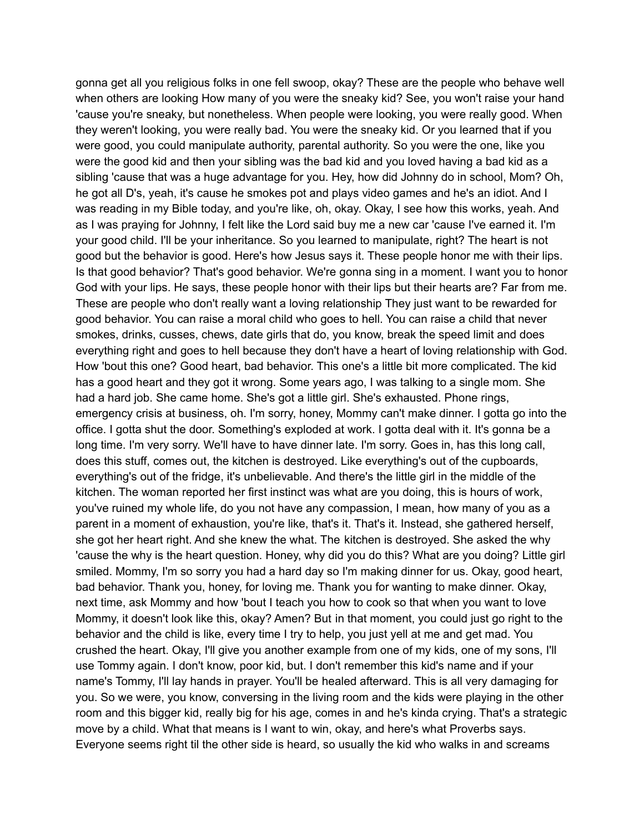gonna get all you religious folks in one fell swoop, okay? These are the people who behave well when others are looking How many of you were the sneaky kid? See, you won't raise your hand 'cause you're sneaky, but nonetheless. When people were looking, you were really good. When they weren't looking, you were really bad. You were the sneaky kid. Or you learned that if you were good, you could manipulate authority, parental authority. So you were the one, like you were the good kid and then your sibling was the bad kid and you loved having a bad kid as a sibling 'cause that was a huge advantage for you. Hey, how did Johnny do in school, Mom? Oh, he got all D's, yeah, it's cause he smokes pot and plays video games and he's an idiot. And I was reading in my Bible today, and you're like, oh, okay. Okay, I see how this works, yeah. And as I was praying for Johnny, I felt like the Lord said buy me a new car 'cause I've earned it. I'm your good child. I'll be your inheritance. So you learned to manipulate, right? The heart is not good but the behavior is good. Here's how Jesus says it. These people honor me with their lips. Is that good behavior? That's good behavior. We're gonna sing in a moment. I want you to honor God with your lips. He says, these people honor with their lips but their hearts are? Far from me. These are people who don't really want a loving relationship They just want to be rewarded for good behavior. You can raise a moral child who goes to hell. You can raise a child that never smokes, drinks, cusses, chews, date girls that do, you know, break the speed limit and does everything right and goes to hell because they don't have a heart of loving relationship with God. How 'bout this one? Good heart, bad behavior. This one's a little bit more complicated. The kid has a good heart and they got it wrong. Some years ago, I was talking to a single mom. She had a hard job. She came home. She's got a little girl. She's exhausted. Phone rings, emergency crisis at business, oh. I'm sorry, honey, Mommy can't make dinner. I gotta go into the office. I gotta shut the door. Something's exploded at work. I gotta deal with it. It's gonna be a long time. I'm very sorry. We'll have to have dinner late. I'm sorry. Goes in, has this long call, does this stuff, comes out, the kitchen is destroyed. Like everything's out of the cupboards, everything's out of the fridge, it's unbelievable. And there's the little girl in the middle of the kitchen. The woman reported her first instinct was what are you doing, this is hours of work, you've ruined my whole life, do you not have any compassion, I mean, how many of you as a parent in a moment of exhaustion, you're like, that's it. That's it. Instead, she gathered herself, she got her heart right. And she knew the what. The kitchen is destroyed. She asked the why 'cause the why is the heart question. Honey, why did you do this? What are you doing? Little girl smiled. Mommy, I'm so sorry you had a hard day so I'm making dinner for us. Okay, good heart, bad behavior. Thank you, honey, for loving me. Thank you for wanting to make dinner. Okay, next time, ask Mommy and how 'bout I teach you how to cook so that when you want to love Mommy, it doesn't look like this, okay? Amen? But in that moment, you could just go right to the behavior and the child is like, every time I try to help, you just yell at me and get mad. You crushed the heart. Okay, I'll give you another example from one of my kids, one of my sons, I'll use Tommy again. I don't know, poor kid, but. I don't remember this kid's name and if your name's Tommy, I'll lay hands in prayer. You'll be healed afterward. This is all very damaging for you. So we were, you know, conversing in the living room and the kids were playing in the other room and this bigger kid, really big for his age, comes in and he's kinda crying. That's a strategic move by a child. What that means is I want to win, okay, and here's what Proverbs says. Everyone seems right til the other side is heard, so usually the kid who walks in and screams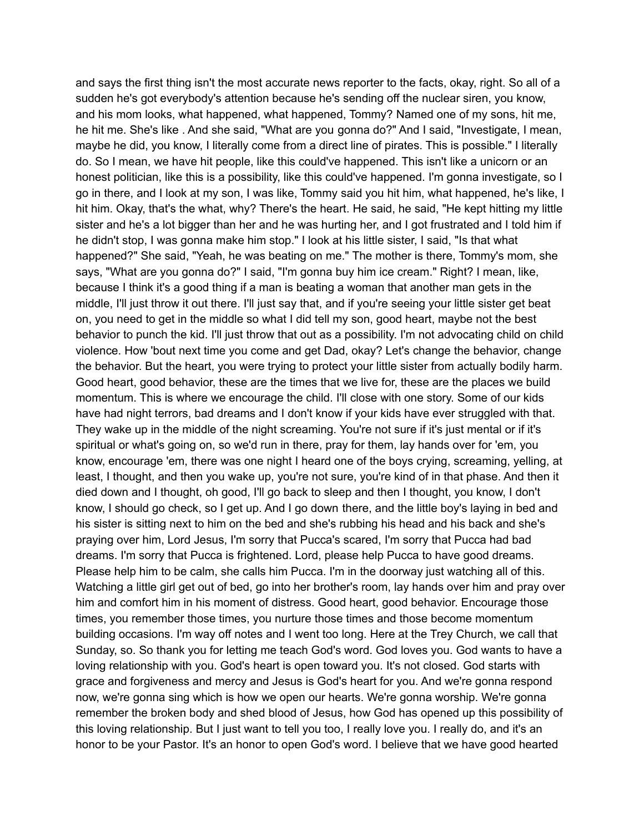and says the first thing isn't the most accurate news reporter to the facts, okay, right. So all of a sudden he's got everybody's attention because he's sending off the nuclear siren, you know, and his mom looks, what happened, what happened, Tommy? Named one of my sons, hit me, he hit me. She's like . And she said, "What are you gonna do?" And I said, "Investigate, I mean, maybe he did, you know, I literally come from a direct line of pirates. This is possible." I literally do. So I mean, we have hit people, like this could've happened. This isn't like a unicorn or an honest politician, like this is a possibility, like this could've happened. I'm gonna investigate, so I go in there, and I look at my son, I was like, Tommy said you hit him, what happened, he's like, I hit him. Okay, that's the what, why? There's the heart. He said, he said, "He kept hitting my little sister and he's a lot bigger than her and he was hurting her, and I got frustrated and I told him if he didn't stop, I was gonna make him stop." I look at his little sister, I said, "Is that what happened?" She said, "Yeah, he was beating on me." The mother is there, Tommy's mom, she says, "What are you gonna do?" I said, "I'm gonna buy him ice cream." Right? I mean, like, because I think it's a good thing if a man is beating a woman that another man gets in the middle, I'll just throw it out there. I'll just say that, and if you're seeing your little sister get beat on, you need to get in the middle so what I did tell my son, good heart, maybe not the best behavior to punch the kid. I'll just throw that out as a possibility. I'm not advocating child on child violence. How 'bout next time you come and get Dad, okay? Let's change the behavior, change the behavior. But the heart, you were trying to protect your little sister from actually bodily harm. Good heart, good behavior, these are the times that we live for, these are the places we build momentum. This is where we encourage the child. I'll close with one story. Some of our kids have had night terrors, bad dreams and I don't know if your kids have ever struggled with that. They wake up in the middle of the night screaming. You're not sure if it's just mental or if it's spiritual or what's going on, so we'd run in there, pray for them, lay hands over for 'em, you know, encourage 'em, there was one night I heard one of the boys crying, screaming, yelling, at least, I thought, and then you wake up, you're not sure, you're kind of in that phase. And then it died down and I thought, oh good, I'll go back to sleep and then I thought, you know, I don't know, I should go check, so I get up. And I go down there, and the little boy's laying in bed and his sister is sitting next to him on the bed and she's rubbing his head and his back and she's praying over him, Lord Jesus, I'm sorry that Pucca's scared, I'm sorry that Pucca had bad dreams. I'm sorry that Pucca is frightened. Lord, please help Pucca to have good dreams. Please help him to be calm, she calls him Pucca. I'm in the doorway just watching all of this. Watching a little girl get out of bed, go into her brother's room, lay hands over him and pray over him and comfort him in his moment of distress. Good heart, good behavior. Encourage those times, you remember those times, you nurture those times and those become momentum building occasions. I'm way off notes and I went too long. Here at the Trey Church, we call that Sunday, so. So thank you for letting me teach God's word. God loves you. God wants to have a loving relationship with you. God's heart is open toward you. It's not closed. God starts with grace and forgiveness and mercy and Jesus is God's heart for you. And we're gonna respond now, we're gonna sing which is how we open our hearts. We're gonna worship. We're gonna remember the broken body and shed blood of Jesus, how God has opened up this possibility of this loving relationship. But I just want to tell you too, I really love you. I really do, and it's an honor to be your Pastor. It's an honor to open God's word. I believe that we have good hearted